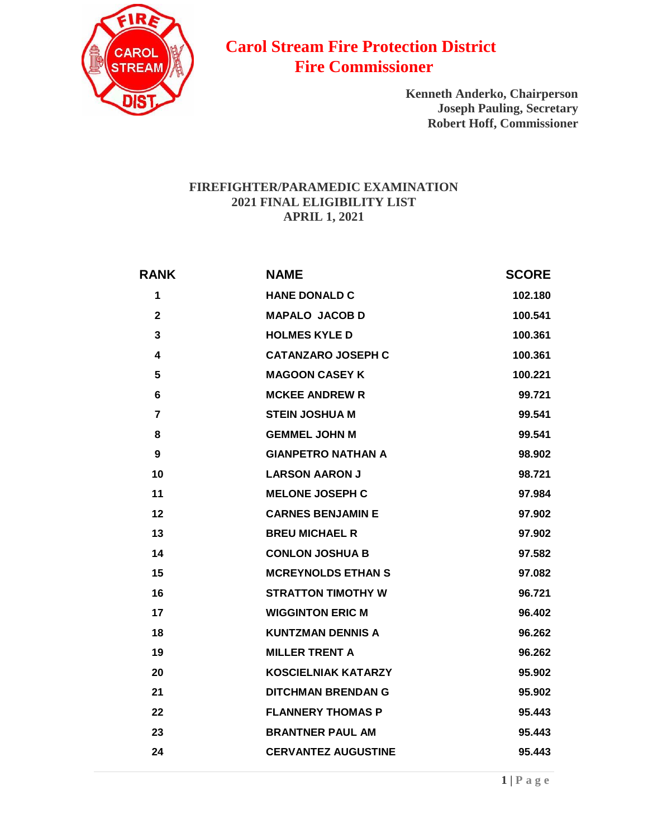

## **Carol Stream Fire Protection District Fire Commissioner**

**Kenneth Anderko, Chairperson Joseph Pauling, Secretary Robert Hoff, Commissioner**

## **FIREFIGHTER/PARAMEDIC EXAMINATION FINAL ELIGIBILITY LIST APRIL 1, 2021**

| <b>RANK</b>             | <b>NAME</b>                | <b>SCORE</b> |
|-------------------------|----------------------------|--------------|
| 1                       | <b>HANE DONALD C</b>       | 102.180      |
| $\mathbf{2}$            | <b>MAPALO JACOB D</b>      | 100.541      |
| 3                       | <b>HOLMES KYLE D</b>       | 100.361      |
| $\overline{\mathbf{4}}$ | <b>CATANZARO JOSEPH C</b>  | 100.361      |
| 5                       | <b>MAGOON CASEY K</b>      | 100.221      |
| 6                       | <b>MCKEE ANDREW R</b>      | 99.721       |
| 7                       | <b>STEIN JOSHUA M</b>      | 99.541       |
| 8                       | <b>GEMMEL JOHN M</b>       | 99.541       |
| 9                       | <b>GIANPETRO NATHAN A</b>  | 98.902       |
| 10                      | <b>LARSON AARON J</b>      | 98.721       |
| 11                      | <b>MELONE JOSEPH C</b>     | 97.984       |
| 12                      | <b>CARNES BENJAMIN E</b>   | 97.902       |
| 13                      | <b>BREU MICHAEL R</b>      | 97.902       |
| 14                      | <b>CONLON JOSHUA B</b>     | 97.582       |
| 15                      | <b>MCREYNOLDS ETHAN S</b>  | 97.082       |
| 16                      | <b>STRATTON TIMOTHY W</b>  | 96.721       |
| 17                      | <b>WIGGINTON ERIC M</b>    | 96.402       |
| 18                      | <b>KUNTZMAN DENNIS A</b>   | 96.262       |
| 19                      | <b>MILLER TRENT A</b>      | 96.262       |
| 20                      | <b>KOSCIELNIAK KATARZY</b> | 95.902       |
| 21                      | <b>DITCHMAN BRENDAN G</b>  | 95.902       |
| 22                      | <b>FLANNERY THOMAS P</b>   | 95.443       |
| 23                      | <b>BRANTNER PAUL AM</b>    | 95.443       |
| 24                      | <b>CERVANTEZ AUGUSTINE</b> | 95.443       |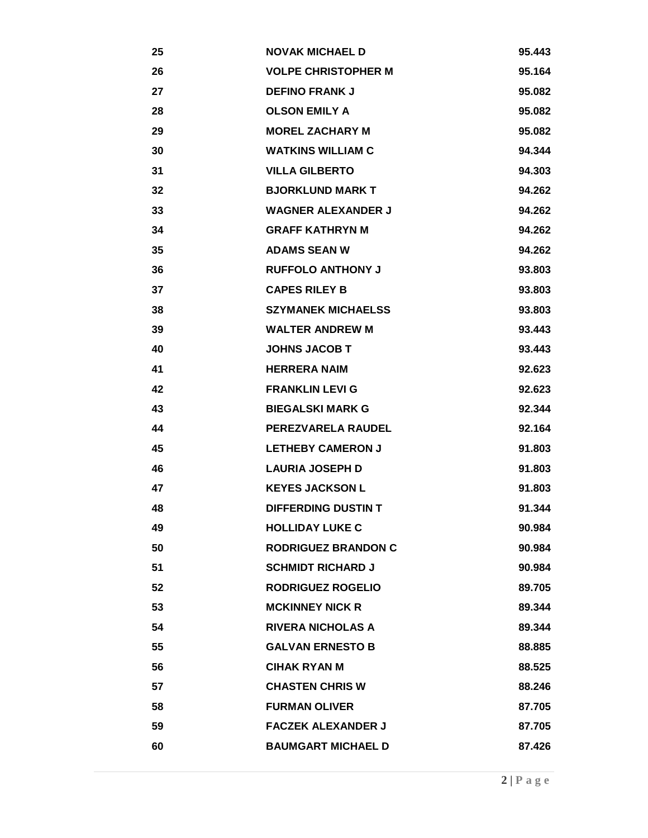| 25 | <b>NOVAK MICHAEL D</b>     | 95.443 |
|----|----------------------------|--------|
| 26 | <b>VOLPE CHRISTOPHER M</b> | 95.164 |
| 27 | <b>DEFINO FRANK J</b>      | 95.082 |
| 28 | <b>OLSON EMILY A</b>       | 95.082 |
| 29 | <b>MOREL ZACHARY M</b>     | 95.082 |
| 30 | <b>WATKINS WILLIAM C</b>   | 94.344 |
| 31 | <b>VILLA GILBERTO</b>      | 94.303 |
| 32 | <b>BJORKLUND MARK T</b>    | 94.262 |
| 33 | <b>WAGNER ALEXANDER J</b>  | 94.262 |
| 34 | <b>GRAFF KATHRYN M</b>     | 94.262 |
| 35 | <b>ADAMS SEAN W</b>        | 94.262 |
| 36 | <b>RUFFOLO ANTHONY J</b>   | 93.803 |
| 37 | <b>CAPES RILEY B</b>       | 93.803 |
| 38 | <b>SZYMANEK MICHAELSS</b>  | 93.803 |
| 39 | <b>WALTER ANDREW M</b>     | 93.443 |
| 40 | <b>JOHNS JACOB T</b>       | 93.443 |
| 41 | <b>HERRERA NAIM</b>        | 92.623 |
| 42 | <b>FRANKLIN LEVI G</b>     | 92.623 |
| 43 | <b>BIEGALSKI MARK G</b>    | 92.344 |
| 44 | <b>PEREZVARELA RAUDEL</b>  | 92.164 |
| 45 | <b>LETHEBY CAMERON J</b>   | 91.803 |
| 46 | <b>LAURIA JOSEPH D</b>     | 91.803 |
| 47 | <b>KEYES JACKSON L</b>     | 91.803 |
| 48 | <b>DIFFERDING DUSTIN T</b> | 91.344 |
| 49 | <b>HOLLIDAY LUKE C</b>     | 90.984 |
| 50 | <b>RODRIGUEZ BRANDON C</b> | 90.984 |
| 51 | <b>SCHMIDT RICHARD J</b>   | 90.984 |
| 52 | RODRIGUEZ ROGELIO          | 89.705 |
| 53 | <b>MCKINNEY NICK R</b>     | 89.344 |
| 54 | <b>RIVERA NICHOLAS A</b>   | 89.344 |
| 55 | <b>GALVAN ERNESTO B</b>    | 88.885 |
| 56 | <b>CIHAK RYAN M</b>        | 88.525 |
| 57 | <b>CHASTEN CHRIS W</b>     | 88.246 |
| 58 | <b>FURMAN OLIVER</b>       | 87.705 |
| 59 | <b>FACZEK ALEXANDER J</b>  | 87.705 |
| 60 | <b>BAUMGART MICHAEL D</b>  | 87.426 |